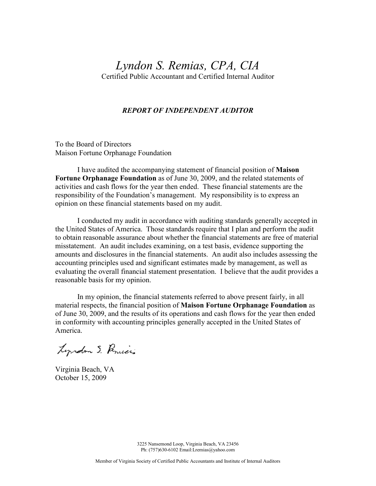# Lyndon S. Remias, CPA, CIA

Certified Public Accountant and Certified Internal Auditor

#### REPORT OF INDEPENDENT AUDITOR

To the Board of Directors Maison Fortune Orphanage Foundation

 I have audited the accompanying statement of financial position of Maison Fortune Orphanage Foundation as of June 30, 2009, and the related statements of activities and cash flows for the year then ended. These financial statements are the responsibility of the Foundation's management. My responsibility is to express an opinion on these financial statements based on my audit.

 I conducted my audit in accordance with auditing standards generally accepted in the United States of America. Those standards require that I plan and perform the audit to obtain reasonable assurance about whether the financial statements are free of material misstatement. An audit includes examining, on a test basis, evidence supporting the amounts and disclosures in the financial statements. An audit also includes assessing the accounting principles used and significant estimates made by management, as well as evaluating the overall financial statement presentation. I believe that the audit provides a reasonable basis for my opinion.

 In my opinion, the financial statements referred to above present fairly, in all material respects, the financial position of **Maison Fortune Orphanage Foundation** as of June 30, 2009, and the results of its operations and cash flows for the year then ended in conformity with accounting principles generally accepted in the United States of America.

Lyrdon S. Romiers

Virginia Beach, VA October 15, 2009

3225 Nansemond Loop, Virginia Beach, VA 23456 Ph: (757)630-6102 Email:Lremias@yahoo.com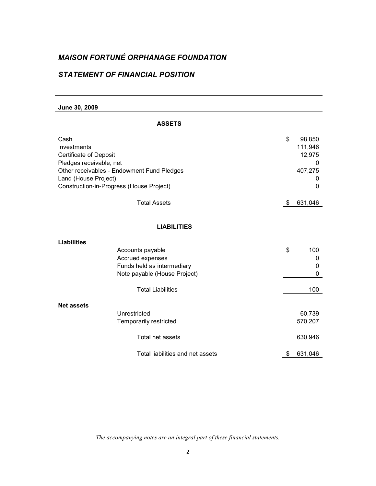### STATEMENT OF FINANCIAL POSITION

June 30, 2009

| ۷ |  |
|---|--|
|   |  |

| Cash<br>Investments<br><b>Certificate of Deposit</b><br>Pledges receivable, net<br>Other receivables - Endowment Fund Pledges<br>Land (House Project)<br>Construction-in-Progress (House Project) | \$<br>98,850<br>111,946<br>12,975<br>0<br>407,275<br>0<br>0 |
|---------------------------------------------------------------------------------------------------------------------------------------------------------------------------------------------------|-------------------------------------------------------------|
| <b>Total Assets</b>                                                                                                                                                                               | \$<br>631,046                                               |
| <b>LIABILITIES</b>                                                                                                                                                                                |                                                             |
| <b>Liabilities</b>                                                                                                                                                                                |                                                             |
| Accounts payable<br>Accrued expenses<br>Funds held as intermediary<br>Note payable (House Project)                                                                                                | \$<br>100<br>0<br>0<br>0                                    |
| <b>Total Liabilities</b>                                                                                                                                                                          | 100                                                         |
| <b>Net assets</b>                                                                                                                                                                                 |                                                             |
| Unrestricted<br>Temporarily restricted                                                                                                                                                            | 60,739<br>570,207                                           |
| Total net assets                                                                                                                                                                                  | 630,946                                                     |
| Total liabilities and net assets                                                                                                                                                                  | \$<br>631,046                                               |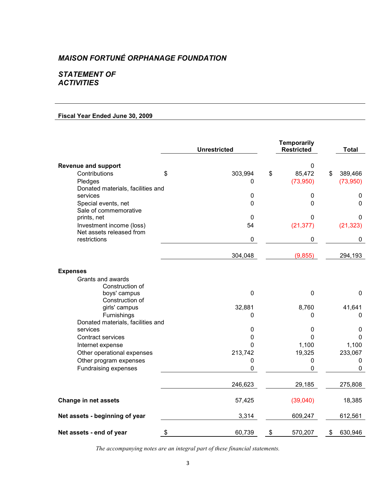### STATEMENT OF **ACTIVITIES**

### Fiscal Year Ended June 30, 2009

|                                                      | <b>Unrestricted</b> | <b>Temporarily</b><br><b>Restricted</b> | <b>Total</b>  |
|------------------------------------------------------|---------------------|-----------------------------------------|---------------|
| <b>Revenue and support</b>                           |                     | $\mathbf 0$                             |               |
| Contributions                                        | \$<br>303,994       | \$<br>85,472                            | \$<br>389,466 |
| Pledges                                              | 0                   | (73,950)                                | (73,950)      |
| Donated materials, facilities and                    |                     |                                         |               |
| services                                             | 0                   | 0                                       | 0             |
| Special events, net                                  | 0                   | $\Omega$                                | $\mathbf 0$   |
| Sale of commemorative                                |                     |                                         |               |
| prints, net                                          | $\Omega$            | $\Omega$                                | 0             |
| Investment income (loss)<br>Net assets released from | 54                  | (21, 377)                               | (21, 323)     |
| restrictions                                         | 0                   | 0                                       | $\mathbf 0$   |
|                                                      | 304,048             | (9, 855)                                | 294,193       |
| <b>Expenses</b>                                      |                     |                                         |               |
| Grants and awards                                    |                     |                                         |               |
| Construction of                                      |                     |                                         |               |
| boys' campus                                         | $\pmb{0}$           | $\mathbf 0$                             | $\mathbf 0$   |
| Construction of                                      |                     |                                         |               |
| girls' campus                                        | 32,881              | 8,760                                   | 41,641        |
| Furnishings                                          | 0                   | $\mathbf 0$                             | 0             |
| Donated materials, facilities and                    |                     |                                         |               |
| services                                             | 0                   | $\pmb{0}$                               | $\mathbf 0$   |
| <b>Contract services</b>                             | 0                   | $\mathbf 0$                             | $\Omega$      |
| Internet expense                                     | 0                   | 1,100                                   | 1,100         |
| Other operational expenses                           | 213,742             | 19,325                                  | 233,067       |
| Other program expenses                               | 0                   | $\pmb{0}$                               | $\mathbf 0$   |
| Fundraising expenses                                 | 0                   | $\mathbf 0$                             | 0             |
|                                                      | 246,623             | 29,185                                  | 275,808       |
| Change in net assets                                 | 57,425              | (39,040)                                | 18,385        |
| Net assets - beginning of year                       | 3,314               | 609,247                                 | 612,561       |
| Net assets - end of year                             | \$<br>60,739        | \$<br>570,207                           | \$<br>630,946 |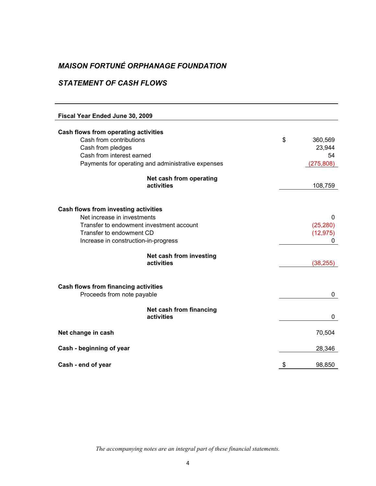### STATEMENT OF CASH FLOWS

| Fiscal Year Ended June 30, 2009                |                                                    |               |
|------------------------------------------------|----------------------------------------------------|---------------|
|                                                |                                                    |               |
| Cash flows from operating activities           |                                                    |               |
| Cash from contributions                        |                                                    | \$<br>360,569 |
| Cash from pledges<br>Cash from interest earned |                                                    | 23,944<br>54  |
|                                                |                                                    |               |
|                                                | Payments for operating and administrative expenses | (275, 808)    |
|                                                | Net cash from operating                            |               |
|                                                | activities                                         | 108,759       |
|                                                |                                                    |               |
| Cash flows from investing activities           |                                                    |               |
| Net increase in investments                    |                                                    | 0             |
| Transfer to endowment investment account       |                                                    | (25, 280)     |
| Transfer to endowment CD                       |                                                    | (12, 975)     |
| Increase in construction-in-progress           |                                                    | 0             |
|                                                | Net cash from investing                            |               |
|                                                | activities                                         | (38, 255)     |
|                                                |                                                    |               |
| <b>Cash flows from financing activities</b>    |                                                    |               |
| Proceeds from note payable                     |                                                    | 0             |
|                                                | Net cash from financing                            |               |
|                                                | activities                                         | 0             |
| Net change in cash                             |                                                    | 70,504        |
|                                                |                                                    |               |
| Cash - beginning of year                       |                                                    | 28,346        |
| Cash - end of year                             |                                                    | \$<br>98,850  |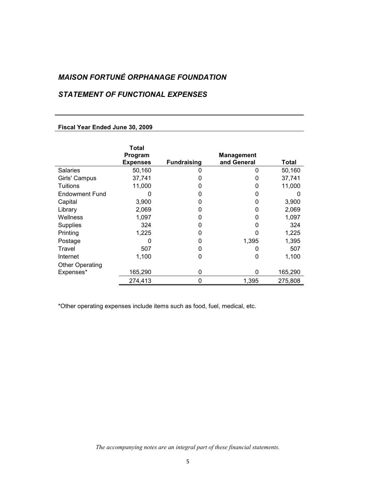### STATEMENT OF FUNCTIONAL EXPENSES

#### Fiscal Year Ended June 30, 2009

|                        | Total<br>Program |                    | <b>Management</b> |              |
|------------------------|------------------|--------------------|-------------------|--------------|
|                        | <b>Expenses</b>  | <b>Fundraising</b> | and General       | <b>Total</b> |
| <b>Salaries</b>        | 50,160           | 0                  | O                 | 50,160       |
| Girls' Campus          | 37,741           |                    |                   | 37,741       |
| Tuitions               | 11,000           |                    |                   | 11,000       |
| <b>Endowment Fund</b>  |                  | O                  |                   |              |
| Capital                | 3,900            | O                  | 0                 | 3,900        |
| Library                | 2,069            | O                  | 0                 | 2,069        |
| Wellness               | 1,097            | O                  | 0                 | 1,097        |
| <b>Supplies</b>        | 324              | 0                  |                   | 324          |
| Printing               | 1,225            | 0                  |                   | 1,225        |
| Postage                | O                | O                  | 1,395             | 1,395        |
| Travel                 | 507              | 0                  |                   | 507          |
| Internet               | 1,100            | 0                  | 0                 | 1,100        |
| <b>Other Operating</b> |                  |                    |                   |              |
| Expenses*              | 165,290          | 0                  | 0                 | 165,290      |
|                        | 274,413          | 0                  | 1,395             | 275,808      |

\*Other operating expenses include items such as food, fuel, medical, etc.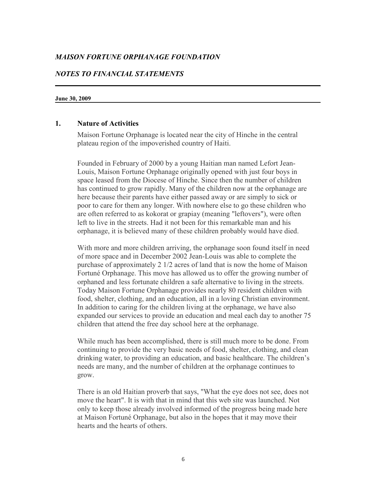#### NOTES TO FINANCIAL STATEMENTS

#### June 30, 2009

#### 1. Nature of Activities

Maison Fortune Orphanage is located near the city of Hinche in the central plateau region of the impoverished country of Haiti.

Founded in February of 2000 by a young Haitian man named Lefort Jean-Louis, Maison Fortune Orphanage originally opened with just four boys in space leased from the Diocese of Hinche. Since then the number of children has continued to grow rapidly. Many of the children now at the orphanage are here because their parents have either passed away or are simply to sick or poor to care for them any longer. With nowhere else to go these children who are often referred to as kokorat or grapiay (meaning "leftovers"), were often left to live in the streets. Had it not been for this remarkable man and his orphanage, it is believed many of these children probably would have died.

With more and more children arriving, the orphanage soon found itself in need of more space and in December 2002 Jean-Louis was able to complete the purchase of approximately 2 1/2 acres of land that is now the home of Maison Fortuné Orphanage. This move has allowed us to offer the growing number of orphaned and less fortunate children a safe alternative to living in the streets. Today Maison Fortune Orphanage provides nearly 80 resident children with food, shelter, clothing, and an education, all in a loving Christian environment. In addition to caring for the children living at the orphanage, we have also expanded our services to provide an education and meal each day to another 75 children that attend the free day school here at the orphanage.

While much has been accomplished, there is still much more to be done. From continuing to provide the very basic needs of food, shelter, clothing, and clean drinking water, to providing an education, and basic healthcare. The children's needs are many, and the number of children at the orphanage continues to grow.

There is an old Haitian proverb that says, "What the eye does not see, does not move the heart". It is with that in mind that this web site was launched. Not only to keep those already involved informed of the progress being made here at Maison Fortuné Orphanage, but also in the hopes that it may move their hearts and the hearts of others.